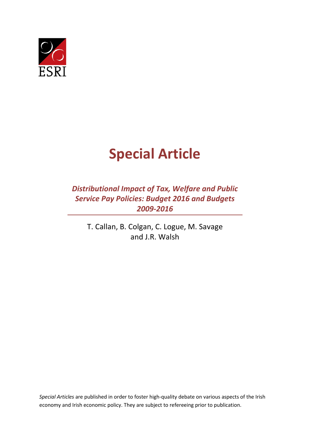

# **Special Article**

*Distributional Impact of Tax, Welfare and Public Service Pay Policies: Budget 2016 and Budgets 2009-2016*

T. Callan, B. Colgan, C. Logue, M. Savage and J.R. Walsh

*Special Articles* are published in order to foster high-quality debate on various aspects of the Irish economy and Irish economic policy. They are subject to refereeing prior to publication.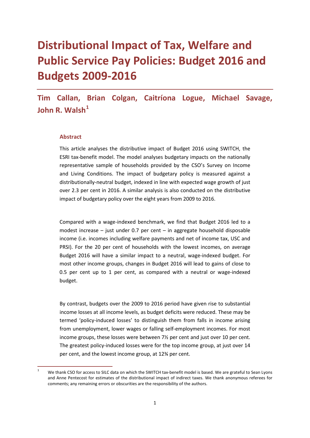## **Distributional Impact of Tax, Welfare and Public Service Pay Policies: Budget 2016 and Budgets 2009-2016**

**Tim Callan, Brian Colgan, Caitríona Logue, Michael Savage, John R. Walsh[1](#page-2-0)**

#### **Abstract**

This article analyses the distributive impact of Budget 2016 using SWITCH, the ESRI tax-benefit model. The model analyses budgetary impacts on the nationally representative sample of households provided by the CSO's Survey on Income and Living Conditions. The impact of budgetary policy is measured against a distributionally-neutral budget, indexed in line with expected wage growth of just over 2.3 per cent in 2016. A similar analysis is also conducted on the distributive impact of budgetary policy over the eight years from 2009 to 2016.

Compared with a wage-indexed benchmark, we find that Budget 2016 led to a modest increase – just under 0.7 per cent – in aggregate household disposable income (i.e. incomes including welfare payments and net of income tax, USC and PRSI). For the 20 per cent of households with the lowest incomes, on average Budget 2016 will have a similar impact to a neutral, wage-indexed budget. For most other income groups, changes in Budget 2016 will lead to gains of close to 0.5 per cent up to 1 per cent, as compared with a neutral or wage-indexed budget.

By contrast, budgets over the 2009 to 2016 period have given rise to substantial income losses at all income levels, as budget deficits were reduced. These may be termed 'policy-induced losses' to distinguish them from falls in income arising from unemployment, lower wages or falling self-employment incomes. For most income groups, these losses were between 7½ per cent and just over 10 per cent. The greatest policy-induced losses were for the top income group, at just over 14 per cent, and the lowest income group, at 12¾ per cent.

<span id="page-2-0"></span>We thank CSO for access to SILC data on which the SWITCH tax-benefit model is based. We are grateful to Sean Lyons and Anne Pentecost for estimates of the distributional impact of indirect taxes. We thank anonymous referees for comments; any remaining errors or obscurities are the responsibility of the authors.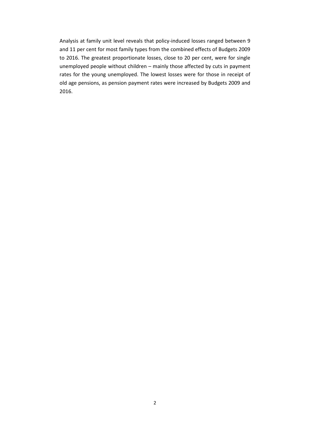Analysis at family unit level reveals that policy-induced losses ranged between 9 and 11 per cent for most family types from the combined effects of Budgets 2009 to 2016. The greatest proportionate losses, close to 20 per cent, were for single unemployed people without children – mainly those affected by cuts in payment rates for the young unemployed. The lowest losses were for those in receipt of old age pensions, as pension payment rates were increased by Budgets 2009 and 2016.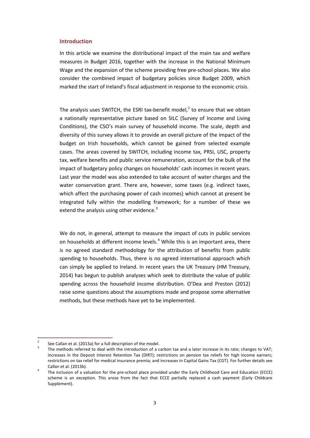#### **Introduction**

In this article we examine the distributional impact of the main tax and welfare measures in Budget 2016, together with the increase in the National Minimum Wage and the expansion of the scheme providing free pre-school places. We also consider the combined impact of budgetary policies since Budget 2009, which marked the start of Ireland's fiscal adjustment in response to the economic crisis.

The analysis uses SWITCH, the ESRI tax-benefit model,<sup>[2](#page-4-0)</sup> to ensure that we obtain a nationally representative picture based on SILC (Survey of Income and Living Conditions), the CSO's main survey of household income. The scale, depth and diversity of this survey allows it to provide an overall picture of the impact of the budget on Irish households, which cannot be gained from selected example cases. The areas covered by SWITCH, including income tax, PRSI, USC, property tax, welfare benefits and public service remuneration, account for the bulk of the impact of budgetary policy changes on households' cash incomes in recent years. Last year the model was also extended to take account of water charges and the water conservation grant. There are, however, some taxes (e.g. indirect taxes, which affect the purchasing power of cash incomes) which cannot at present be integrated fully within the modelling framework; for a number of these we extend the analysis using other evidence.<sup>[3](#page-4-1)</sup>

We do not, in general, attempt to measure the impact of cuts in public services on households at different income levels.<sup>[4](#page-4-2)</sup> While this is an important area, there is no agreed standard methodology for the attribution of benefits from public spending to households. Thus, there is no agreed international approach which can simply be applied to Ireland. In recent years the UK Treasury (HM Treasury, 2014) has begun to publish analyses which seek to distribute the value of public spending across the household income distribution. O'Dea and Preston (2012) raise some questions about the assumptions made and propose some alternative methods, but these methods have yet to be implemented.

<span id="page-4-1"></span><span id="page-4-0"></span><sup>&</sup>lt;sup>2</sup> See Callan et al. (2013a) for a full description of the model.<br><sup>3</sup> The methods referred to deal with the introduction of a carbon tax and a later increase in its rate; changes to VAT; increases in the Deposit Interest Retention Tax (DIRT); restrictions on pension tax reliefs for high income earners; restrictions on tax relief for medical insurance premia; and increases in Capital Gains Tax (CGT). For further details see Callan et al. (2013b).<br>The inclusion of a valuation for the pre-school place provided under the Early Childhood Care and Education (ECCE)

<span id="page-4-2"></span>scheme is an exception. This arose from the fact that ECCE partially replaced a cash payment (Early Childcare Supplement).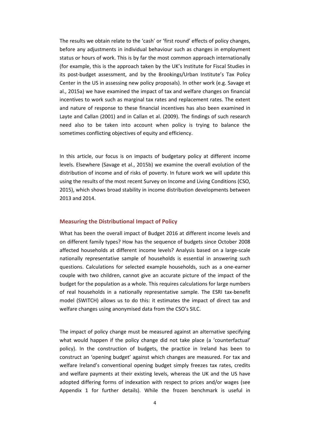The results we obtain relate to the 'cash' or 'first round' effects of policy changes, before any adjustments in individual behaviour such as changes in employment status or hours of work. This is by far the most common approach internationally (for example, this is the approach taken by the UK's Institute for Fiscal Studies in its post-budget assessment, and by the Brookings/Urban Institute's Tax Policy Center in the US in assessing new policy proposals). In other work (e.g. Savage et al., 2015a) we have examined the impact of tax and welfare changes on financial incentives to work such as marginal tax rates and replacement rates. The extent and nature of response to these financial incentives has also been examined in Layte and Callan (2001) and in Callan et al. (2009). The findings of such research need also to be taken into account when policy is trying to balance the sometimes conflicting objectives of equity and efficiency.

In this article, our focus is on impacts of budgetary policy at different income levels. Elsewhere (Savage et al., 2015b) we examine the overall evolution of the distribution of income and of risks of poverty. In future work we will update this using the results of the most recent Survey on Income and Living Conditions (CSO, 2015), which shows broad stability in income distribution developments between 2013 and 2014.

#### **Measuring the Distributional Impact of Policy**

What has been the overall impact of Budget 2016 at different income levels and on different family types? How has the sequence of budgets since October 2008 affected households at different income levels? Analysis based on a large-scale nationally representative sample of households is essential in answering such questions. Calculations for selected example households, such as a one-earner couple with two children, cannot give an accurate picture of the impact of the budget for the population as a whole. This requires calculations for large numbers of real households in a nationally representative sample. The ESRI tax-benefit model (SWITCH) allows us to do this: it estimates the impact of direct tax and welfare changes using anonymised data from the CSO's SILC.

The impact of policy change must be measured against an alternative specifying what would happen if the policy change did not take place (a 'counterfactual' policy). In the construction of budgets, the practice in Ireland has been to construct an 'opening budget' against which changes are measured. For tax and welfare Ireland's conventional opening budget simply freezes tax rates, credits and welfare payments at their existing levels, whereas the UK and the US have adopted differing forms of indexation with respect to prices and/or wages (see Appendix 1 for further details). While the frozen benchmark is useful in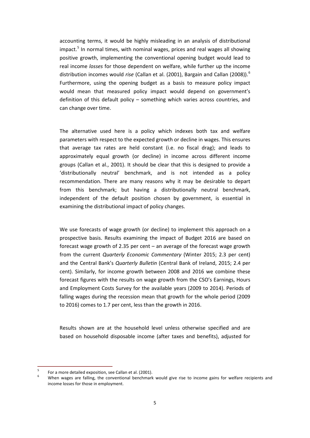accounting terms, it would be highly misleading in an analysis of distributional impact. [5](#page-6-0) In normal times, with nominal wages, prices and real wages all showing positive growth, implementing the conventional opening budget would lead to real income *losses* for those dependent on welfare, while further up the income distribution incomes would *rise* (Callan et al. (2001), Bargain and Callan (2008)). [6](#page-6-1) Furthermore, using the opening budget as a basis to measure policy impact would mean that measured policy impact would depend on government's definition of this default policy – something which varies across countries, and can change over time.

The alternative used here is a policy which indexes both tax and welfare parameters with respect to the expected growth or decline in wages. This ensures that average tax rates are held constant (i.e. no fiscal drag); and leads to approximately equal growth (or decline) in income across different income groups (Callan et al., 2001). It should be clear that this is designed to provide a 'distributionally neutral' benchmark, and is not intended as a policy recommendation. There are many reasons why it may be desirable to depart from this benchmark; but having a distributionally neutral benchmark, independent of the default position chosen by government, is essential in examining the distributional impact of policy changes.

We use forecasts of wage growth (or decline) to implement this approach on a prospective basis. Results examining the impact of Budget 2016 are based on forecast wage growth of 2.35 per cent – an average of the forecast wage growth from the current *Quarterly Economic Commentary* (Winter 2015; 2.3 per cent) and the Central Bank's *Quarterly Bulletin* (Central Bank of Ireland, 2015; 2.4 per cent). Similarly, for income growth between 2008 and 2016 we combine these forecast figures with the results on wage growth from the CSO's Earnings, Hours and Employment Costs Survey for the available years (2009 to 2014). Periods of falling wages during the recession mean that growth for the whole period (2009 to 2016) comes to 1.7 per cent, less than the growth in 2016.

Results shown are at the household level unless otherwise specified and are based on household disposable income (after taxes and benefits), adjusted for

<span id="page-6-1"></span><span id="page-6-0"></span><sup>&</sup>lt;sup>5</sup> For a more detailed exposition, see Callan et al. (2001).<br><sup>6</sup> When wages are falling, the conventional benchmark would give rise to income gains for welfare recipients and income losses for those in employment.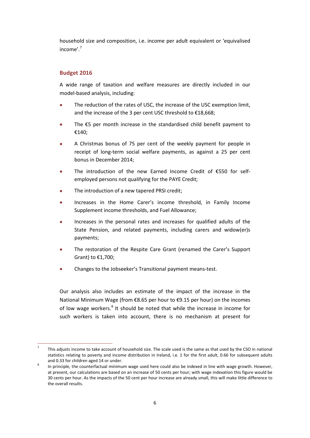household size and composition, i.e. income per adult equivalent or 'equivalised income'. [7](#page-7-0)

### **Budget 2016**

A wide range of taxation and welfare measures are directly included in our model-based analysis, including:

- The reduction of the rates of USC, the increase of the USC exemption limit, and the increase of the 3 per cent USC threshold to €18,668;
- The  $\epsilon$ 5 per month increase in the standardised child benefit payment to €140;
- A Christmas bonus of 75 per cent of the weekly payment for people in receipt of long-term social welfare payments, as against a 25 per cent bonus in December 2014;
- The introduction of the new Earned Income Credit of €550 for selfemployed persons not qualifying for the PAYE Credit;
- The introduction of a new tapered PRSI credit;
- Increases in the Home Carer's income threshold, in Family Income Supplement income thresholds, and Fuel Allowance;
- Increases in the personal rates and increases for qualified adults of the State Pension, and related payments, including carers and widow(er)s payments;
- The restoration of the Respite Care Grant (renamed the Carer's Support Grant) to €1,700;
- Changes to the Jobseeker's Transitional payment means-test.

Our analysis also includes an estimate of the impact of the increase in the National Minimum Wage (from €8.65 per hour to €9.15 per hour) on the incomes of low wage workers.<sup>[8](#page-7-1)</sup> It should be noted that while the increase in income for such workers is taken into account, there is no mechanism at present for

<span id="page-7-0"></span> <sup>7</sup> This adjusts income to take account of household size. The scale used is the same as that used by the CSO in national statistics relating to poverty and income distribution in Ireland, i.e. 1 for the first adult, 0.66 for subsequent adults and 0.33 for children aged 14 or under.<br>In principle, the counterfactual minimum wage used here could also be indexed in line with wage growth. However,

<span id="page-7-1"></span>at present, our calculations are based on an increase of 50 cents per hour; with wage indexation this figure would be 30 cents per hour. As the impacts of the 50 cent per hour increase are already small, this will make little difference to the overall results.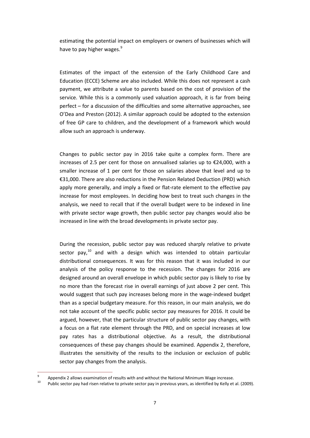estimating the potential impact on employers or owners of businesses which will have to pay higher wages.<sup>[9](#page-8-0)</sup>

Estimates of the impact of the extension of the Early Childhood Care and Education (ECCE) Scheme are also included. While this does not represent a cash payment, we attribute a value to parents based on the cost of provision of the service. While this is a commonly used valuation approach, it is far from being perfect – for a discussion of the difficulties and some alternative approaches, see O'Dea and Preston (2012). A similar approach could be adopted to the extension of free GP care to children, and the development of a framework which would allow such an approach is underway.

Changes to public sector pay in 2016 take quite a complex form. There are increases of 2.5 per cent for those on annualised salaries up to  $\epsilon$ 24,000, with a smaller increase of 1 per cent for those on salaries above that level and up to €31,000. There are also reductions in the Pension Related Deduction (PRD) which apply more generally, and imply a fixed or flat-rate element to the effective pay increase for most employees. In deciding how best to treat such changes in the analysis, we need to recall that if the overall budget were to be indexed in line with private sector wage growth, then public sector pay changes would also be increased in line with the broad developments in private sector pay.

During the recession, public sector pay was reduced sharply relative to private sector pay,<sup>[10](#page-8-1)</sup> and with a design which was intended to obtain particular distributional consequences. It was for this reason that it was included in our analysis of the policy response to the recession. The changes for 2016 are designed around an overall envelope in which public sector pay is likely to rise by no more than the forecast rise in overall earnings of just above 2 per cent. This would suggest that such pay increases belong more in the wage-indexed budget than as a special budgetary measure. For this reason, in our main analysis, we do not take account of the specific public sector pay measures for 2016. It could be argued, however, that the particular structure of public sector pay changes, with a focus on a flat rate element through the PRD, and on special increases at low pay rates has a distributional objective. As a result, the distributional consequences of these pay changes should be examined. Appendix 2, therefore, illustrates the sensitivity of the results to the inclusion or exclusion of public sector pay changes from the analysis.

<span id="page-8-1"></span><span id="page-8-0"></span><sup>&</sup>lt;sup>9</sup> Appendix 2 allows examination of results with and without the National Minimum Wage increase.<br><sup>10</sup> Public sector pay had risen relative to private sector pay in previous years, as identified by Kelly et al. (2009).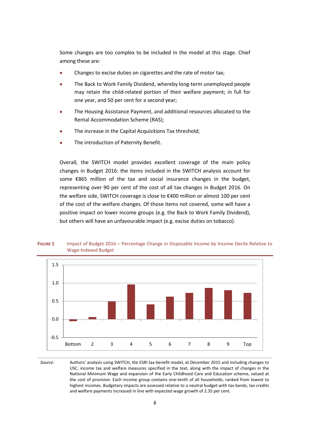Some changes are too complex to be included in the model at this stage. Chief among these are:

- Changes to excise duties on cigarettes and the rate of motor tax;
- The Back to Work Family Dividend, whereby long-term unemployed people may retain the child-related portion of their welfare payment; in full for one year, and 50 per cent for a second year;
- The Housing Assistance Payment, and additional resources allocated to the Rental Accommodation Scheme (RAS);
- The increase in the Capital Acquisitions Tax threshold;
- The introduction of Paternity Benefit.

Overall, the SWITCH model provides excellent coverage of the main policy changes in Budget 2016: the items included in the SWITCH analysis account for some €865 million of the tax and social insurance changes in the budget, representing over 90 per cent of the cost of all tax changes in Budget 2016. On the welfare side, SWITCH coverage is close to €400 million or almost 100 per cent of the cost of the welfare changes. Of those items not covered, some will have a positive impact on lower income groups (e.g. the Back to Work Family Dividend), but others will have an unfavourable impact (e.g. excise duties on tobacco).



**FIGURE 1** Impact of Budget 2016 – Percentage Change in Disposable Income by Income Decile Relative to Wage-Indexed Budget

*Source:* Authors' analysis using SWITCH, the ESRI tax-benefit model, at December 2015 and including changes to USC, income tax and welfare measures specified in the text, along with the impact of changes in the National Minimum Wage and expansion of the Early Childhood Care and Education scheme, valued at the cost of provision*.* Each income group contains one-tenth of all households, ranked from lowest to highest incomes. Budgetary impacts are assessed relative to a neutral budget with tax bands, tax credits and welfare payments increased in line with expected wage growth of 2.35 per cent*.*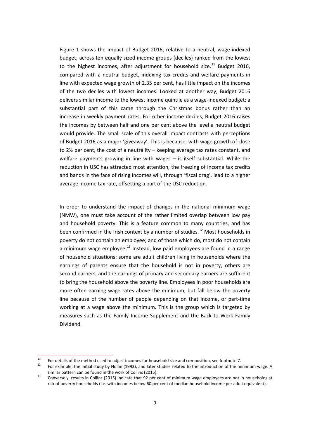Figure 1 shows the impact of Budget 2016, relative to a neutral, wage-indexed budget, across ten equally sized income groups (deciles) ranked from the lowest to the highest incomes, after adjustment for household size.<sup>[11](#page-10-0)</sup> Budget 2016, compared with a neutral budget, indexing tax credits and welfare payments in line with expected wage growth of 2.35 per cent, has little impact on the incomes of the two deciles with lowest incomes. Looked at another way, Budget 2016 delivers similar income to the lowest income quintile as a wage-indexed budget: a substantial part of this came through the Christmas bonus rather than an increase in weekly payment rates. For other income deciles, Budget 2016 raises the incomes by between half and one per cent above the level a neutral budget would provide. The small scale of this overall impact contrasts with perceptions of Budget 2016 as a major 'giveaway'. This is because, with wage growth of close to 2½ per cent, the cost of a neutrality – keeping average tax rates constant, and welfare payments growing in line with wages – is itself substantial. While the reduction in USC has attracted most attention, the freezing of income tax credits and bands in the face of rising incomes will, through 'fiscal drag', lead to a higher average income tax rate, offsetting a part of the USC reduction.

In order to understand the impact of changes in the national minimum wage (NMW), one must take account of the rather limited overlap between low pay and household poverty. This is a feature common to many countries, and has been confirmed in the Irish context by a number of studies.<sup>[12](#page-10-1)</sup> Most households in poverty do not contain an employee; and of those which do, most do not contain a minimum wage employee.<sup>[13](#page-10-2)</sup> Instead, low paid employees are found in a range of household situations: some are adult children living in households where the earnings of parents ensure that the household is not in poverty, others are second earners, and the earnings of primary and secondary earners are sufficient to bring the household above the poverty line. Employees in poor households are more often earning wage rates above the minimum, but fall below the poverty line because of the number of people depending on that income, or part-time working at a wage above the minimum. This is the group which is targeted by measures such as the Family Income Supplement and the Back to Work Family Dividend.

<span id="page-10-1"></span>

<span id="page-10-0"></span><sup>&</sup>lt;sup>11</sup> For details of the method used to adjust incomes for household size and composition, see footnote 7.<br><sup>12</sup> For example, the initial study by Nolan (1993), and later studies related to the introduction of the minimum w similar pattern can be found in the work of Collins (2015).<br><sup>13</sup> Conversely, results in Collins (2015) indicate that 92 per cent of minimum wage employees are not in households at

<span id="page-10-2"></span>risk of poverty households (i.e. with incomes below 60 per cent of median household income per adult equivalent).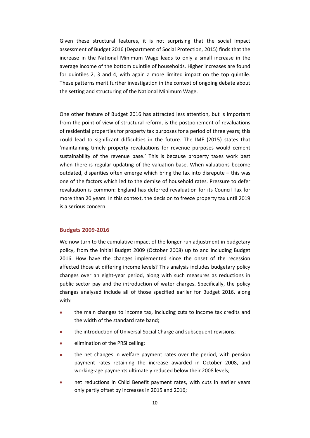Given these structural features, it is not surprising that the social impact assessment of Budget 2016 (Department of Social Protection, 2015) finds that the increase in the National Minimum Wage leads to only a small increase in the average income of the bottom quintile of households. Higher increases are found for quintiles 2, 3 and 4, with again a more limited impact on the top quintile. These patterns merit further investigation in the context of ongoing debate about the setting and structuring of the National Minimum Wage.

One other feature of Budget 2016 has attracted less attention, but is important from the point of view of structural reform, is the postponement of revaluations of residential properties for property tax purposes for a period of three years; this could lead to significant difficulties in the future. The IMF (2015) states that 'maintaining timely property revaluations for revenue purposes would cement sustainability of the revenue base.' This is because property taxes work best when there is regular updating of the valuation base. When valuations become outdated, disparities often emerge which bring the tax into disrepute – this was one of the factors which led to the demise of household rates. Pressure to defer revaluation is common: England has deferred revaluation for its Council Tax for more than 20 years. In this context, the decision to freeze property tax until 2019 is a serious concern.

#### **Budgets 2009-2016**

We now turn to the cumulative impact of the longer-run adjustment in budgetary policy, from the initial Budget 2009 (October 2008) up to and including Budget 2016. How have the changes implemented since the onset of the recession affected those at differing income levels? This analysis includes budgetary policy changes over an eight-year period, along with such measures as reductions in public sector pay and the introduction of water charges. Specifically, the policy changes analysed include all of those specified earlier for Budget 2016, along with:

- the main changes to income tax, including cuts to income tax credits and the width of the standard rate band;
- the introduction of Universal Social Charge and subsequent revisions;
- elimination of the PRSI ceiling;
- the net changes in welfare payment rates over the period, with pension payment rates retaining the increase awarded in October 2008, and working-age payments ultimately reduced below their 2008 levels;
- net reductions in Child Benefit payment rates, with cuts in earlier years only partly offset by increases in 2015 and 2016;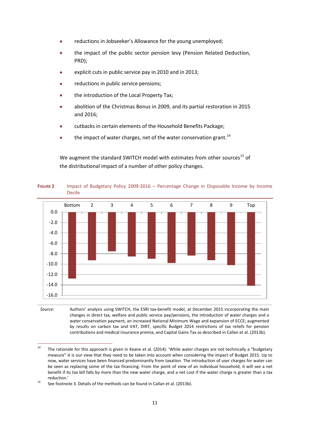- reductions in Jobseeker's Allowance for the young unemployed;
- the impact of the public sector pension levy (Pension Related Deduction, PRD);
- explicit cuts in public service pay in 2010 and in 2013;
- reductions in public service pensions;
- the introduction of the Local Property Tax;
- abolition of the Christmas Bonus in 2009, and its partial restoration in 2015 and 2016;
- cutbacks in certain elements of the Household Benefits Package;
- $\bullet$  the impact of water charges, net of the water conservation grant.<sup>[14](#page-12-0)</sup>

We augment the standard SWITCH model with estimates from other sources<sup>[15](#page-12-1)</sup> of the distributional impact of a number of other policy changes.



**FIGURE 2** Impact of Budgetary Policy 2009-2016 – Percentage Change in Disposable Income by Income Decile

*Source:* Authors' analysis using SWITCH, the ESRI tax-benefit model, at December 2015 incorporating the main changes in direct tax, welfare and public service pay/pensions, the introduction of water charges and a water conservation payment, an increased National Minimum Wage and expansion of ECCE; augmented by results on carbon tax and VAT, DIRT, specific Budget 2014 restrictions of tax reliefs for pension contributions and medical insurance premia, and Capital Gains Tax as described in Callan et al. (2013b).

<span id="page-12-0"></span><sup>&</sup>lt;sup>14</sup> The rationale for this approach is given in Keane et al. (2014): 'While water charges are not technically a "budgetary measure" it is our view that they need to be taken into account when considering the impact of Budget 2015. Up to now, water services have been financed predominantly from taxation. The introduction of user charges for water can be seen as replacing some of the tax financing. From the point of view of an individual household, it will see a net benefit if its tax bill falls by more than the new water charge, and a net cost if the water charge is greater than a tax reduction.'<br><sup>15</sup> See footnote 3. Details of the methods can be found in Callan et al. (2013b).

<span id="page-12-1"></span>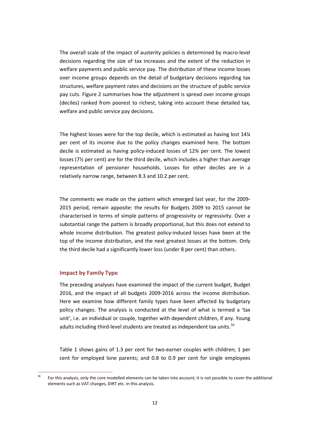The overall scale of the impact of austerity policies is determined by macro-level decisions regarding the size of tax increases and the extent of the reduction in welfare payments and public service pay. The distribution of these income losses over income groups depends on the detail of budgetary decisions regarding tax structures, welfare payment rates and decisions on the structure of public service pay cuts. Figure 2 summarises how the adjustment is spread over income groups (deciles) ranked from poorest to richest, taking into account these detailed tax, welfare and public service pay decisions.

The highest losses were for the top decile, which is estimated as having lost 14¼ per cent of its income due to the policy changes examined here. The bottom decile is estimated as having policy-induced losses of 12¾ per cent. The lowest losses (7½ per cent) are for the third decile, which includes a higher than average representation of pensioner households. Losses for other deciles are in a relatively narrow range, between 8.3 and 10.2 per cent.

The comments we made on the pattern which emerged last year, for the 2009- 2015 period, remain apposite: the results for Budgets 2009 to 2015 cannot be characterised in terms of simple patterns of progressivity or regressivity. Over a substantial range the pattern is broadly proportional, but this does not extend to whole income distribution. The greatest policy-induced losses have been at the top of the income distribution, and the next greatest losses at the bottom. Only the third decile had a significantly lower loss (under 8 per cent) than others.

#### **Impact by Family Type**

The preceding analyses have examined the impact of the current budget, Budget 2016, and the impact of all budgets 2009-2016 across the income distribution. Here we examine how different family types have been affected by budgetary policy changes. The analysis is conducted at the level of what is termed a 'tax unit', i.e. an individual or couple, together with dependent children, if any. Young adults including third-level students are treated as independent tax units.<sup>[16](#page-13-0)</sup>

Table 1 shows gains of 1.3 per cent for two-earner couples with children; 1 per cent for employed lone parents; and 0.8 to 0.9 per cent for single employees

<span id="page-13-0"></span><sup>&</sup>lt;sup>16</sup> For this analysis, only the core modelled elements can be taken into account; it is not possible to cover the additional elements such as VAT changes, DIRT etc. in this analysis.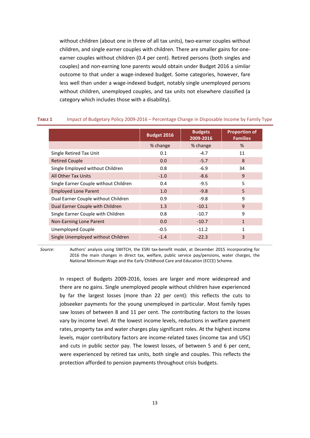without children (about one in three of all tax units), two-earner couples without children, and single earner couples with children. There are smaller gains for oneearner couples without children (0.4 per cent). Retired persons (both singles and couples) and non-earning lone parents would obtain under Budget 2016 a similar outcome to that under a wage-indexed budget. Some categories, however, fare less well than under a wage-indexed budget, notably single unemployed persons without children, unemployed couples, and tax units not elsewhere classified (a category which includes those with a disability).

|                                       | <b>Budget 2016</b> | <b>Budgets</b><br>2009-2016 | <b>Proportion of</b><br><b>Families</b> |
|---------------------------------------|--------------------|-----------------------------|-----------------------------------------|
|                                       | % change           | % change                    | %                                       |
| Single Retired Tax Unit               | 0.1                | $-4.7$                      | 11                                      |
| <b>Retired Couple</b>                 | 0.0                | $-5.7$                      | 8                                       |
| Single Employed without Children      | 0.8                | $-6.9$                      | 34                                      |
| All Other Tax Units                   | $-1.0$             | $-8.6$                      | 9                                       |
| Single Earner Couple without Children | 0.4                | $-9.5$                      | 5                                       |
| <b>Employed Lone Parent</b>           | 1.0                | $-9.8$                      | 5                                       |
| Dual Earner Couple without Children   | 0.9                | $-9.8$                      | 9                                       |
| Dual Earner Couple with Children      | 1.3                | $-10.1$                     | 9                                       |
| Single Earner Couple with Children    | 0.8                | $-10.7$                     | 9                                       |
| Non-Earning Lone Parent               | 0.0                | $-10.7$                     | $\mathbf{1}$                            |
| Unemployed Couple                     | $-0.5$             | $-11.2$                     | 1                                       |
| Single Unemployed without Children    | $-1.4$             | $-22.3$                     | 3                                       |

#### **TABLE 1** Impact of Budgetary Policy 2009-2016 – Percentage Change in Disposable Income by Family Type

*Source:* Authors' analysis using SWITCH, the ESRI tax-benefit model, at December 2015 incorporating for 2016 the main changes in direct tax, welfare, public service pay/pensions, water charges, the National Minimum Wage and the Early Childhood Care and Education (ECCE) Scheme*.*

In respect of Budgets 2009-2016, losses are larger and more widespread and there are no gains. Single unemployed people without children have experienced by far the largest losses (more than 22 per cent): this reflects the cuts to jobseeker payments for the young unemployed in particular. Most family types saw losses of between 8 and 11 per cent. The contributing factors to the losses vary by income level. At the lowest income levels, reductions in welfare payment rates, property tax and water charges play significant roles. At the highest income levels, major contributory factors are income-related taxes (income tax and USC) and cuts in public sector pay. The lowest losses, of between 5 and 6 per cent, were experienced by retired tax units, both single and couples. This reflects the protection afforded to pension payments throughout crisis budgets.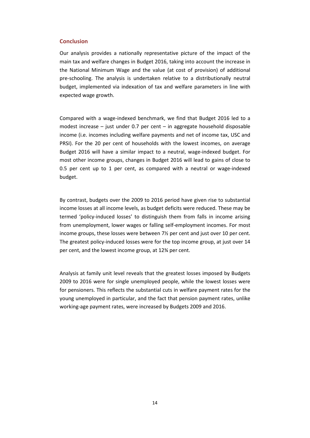#### **Conclusion**

Our analysis provides a nationally representative picture of the impact of the main tax and welfare changes in Budget 2016, taking into account the increase in the National Minimum Wage and the value (at cost of provision) of additional pre-schooling. The analysis is undertaken relative to a distributionally neutral budget, implemented via indexation of tax and welfare parameters in line with expected wage growth.

Compared with a wage-indexed benchmark, we find that Budget 2016 led to a modest increase – just under 0.7 per cent – in aggregate household disposable income (i.e. incomes including welfare payments and net of income tax, USC and PRSI). For the 20 per cent of households with the lowest incomes, on average Budget 2016 will have a similar impact to a neutral, wage-indexed budget. For most other income groups, changes in Budget 2016 will lead to gains of close to 0.5 per cent up to 1 per cent, as compared with a neutral or wage-indexed budget.

By contrast, budgets over the 2009 to 2016 period have given rise to substantial income losses at all income levels, as budget deficits were reduced. These may be termed 'policy-induced losses' to distinguish them from falls in income arising from unemployment, lower wages or falling self-employment incomes. For most income groups, these losses were between 7½ per cent and just over 10 per cent. The greatest policy-induced losses were for the top income group, at just over 14 per cent, and the lowest income group, at 12¾ per cent.

Analysis at family unit level reveals that the greatest losses imposed by Budgets 2009 to 2016 were for single unemployed people, while the lowest losses were for pensioners. This reflects the substantial cuts in welfare payment rates for the young unemployed in particular, and the fact that pension payment rates, unlike working-age payment rates, were increased by Budgets 2009 and 2016.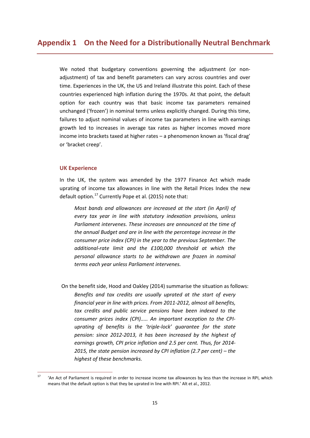We noted that budgetary conventions governing the adjustment (or nonadjustment) of tax and benefit parameters can vary across countries and over time. Experiences in the UK, the US and Ireland illustrate this point. Each of these countries experienced high inflation during the 1970s. At that point, the default option for each country was that basic income tax parameters remained unchanged ('frozen') in nominal terms unless explicitly changed. During this time, failures to adjust nominal values of income tax parameters in line with earnings growth led to increases in average tax rates as higher incomes moved more income into brackets taxed at higher rates – a phenomenon known as 'fiscal drag' or 'bracket creep'.

#### **UK Experience**

In the UK, the system was amended by the 1977 Finance Act which made uprating of income tax allowances in line with the Retail Prices Index the new default option.<sup>[17](#page-16-0)</sup> Currently Pope et al. (2015) note that:

*Most bands and allowances are increased at the start (in April) of every tax year in line with statutory indexation provisions, unless Parliament intervenes. These increases are announced at the time of the annual Budget and are in line with the percentage increase in the consumer price index (CPI) in the year to the previous September. The additional-rate limit and the £100,000 threshold at which the personal allowance starts to be withdrawn are frozen in nominal terms each year unless Parliament intervenes.*

On the benefit side, Hood and Oakley (2014) summarise the situation as follows: *Benefits and tax credits are usually uprated at the start of every financial year in line with prices. From 2011-2012, almost all benefits, tax credits and public service pensions have been indexed to the consumer prices index (CPI)..... An important exception to the CPIuprating of benefits is the 'triple-lock' guarantee for the state pension: since 2012-2013, it has been increased by the highest of earnings growth, CPI price inflation and 2.5 per cent. Thus, for 2014- 2015, the state pension increased by CPI inflation (2.7 per cent) – the highest of these benchmarks.*

<span id="page-16-0"></span><sup>&</sup>lt;sup>17</sup> 'An Act of Parliament is required in order to increase income tax allowances by less than the increase in RPI, which means that the default option is that they be uprated in line with RPI.' Alt et al., 2012.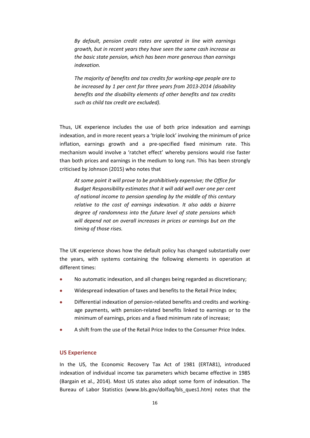*By default, pension credit rates are uprated in line with earnings growth, but in recent years they have seen the same cash increase as the basic state pension, which has been more generous than earnings indexation.* 

*The majority of benefits and tax credits for working-age people are to be increased by 1 per cent for three years from 2013-2014 (disability benefits and the disability elements of other benefits and tax credits such as child tax credit are excluded).* 

Thus, UK experience includes the use of both price indexation and earnings indexation, and in more recent years a 'triple lock' involving the minimum of price inflation, earnings growth and a pre-specified fixed minimum rate. This mechanism would involve a 'ratchet effect' whereby pensions would rise faster than both prices and earnings in the medium to long run. This has been strongly criticised by Johnson (2015) who notes that

*At some point it will prove to be prohibitively expensive; the Office for Budget Responsibility estimates that it will add well over one per cent of national income to pension spending by the middle of this century relative to the cost of earnings indexation. It also adds a bizarre degree of randomness into the future level of state pensions which will depend not on overall increases in prices or earnings but on the timing of those rises.*

The UK experience shows how the default policy has changed substantially over the years, with systems containing the following elements in operation at different times:

- No automatic indexation, and all changes being regarded as discretionary;
- Widespread indexation of taxes and benefits to the Retail Price Index;
- Differential indexation of pension-related benefits and credits and workingage payments, with pension-related benefits linked to earnings or to the minimum of earnings, prices and a fixed minimum rate of increase;
- A shift from the use of the Retail Price Index to the Consumer Price Index.

#### **US Experience**

In the US, the Economic Recovery Tax Act of 1981 (ERTA81), introduced indexation of individual income tax parameters which became effective in 1985 (Bargain et al., 2014). Most US states also adopt some form of indexation. The Bureau of Labor Statistics [\(www.bls.gov/dolfaq/bls\\_ques1.htm\)](http://www.bls.gov/dolfaq/bls_ques1.htm) notes that the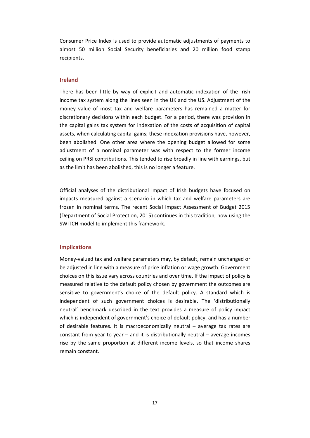Consumer Price Index is used to provide automatic adjustments of payments to almost 50 million Social Security beneficiaries and 20 million food stamp recipients.

#### **Ireland**

There has been little by way of explicit and automatic indexation of the Irish income tax system along the lines seen in the UK and the US. Adjustment of the money value of most tax and welfare parameters has remained a matter for discretionary decisions within each budget. For a period, there was provision in the capital gains tax system for indexation of the costs of acquisition of capital assets, when calculating capital gains; these indexation provisions have, however, been abolished. One other area where the opening budget allowed for some adjustment of a nominal parameter was with respect to the former income ceiling on PRSI contributions. This tended to rise broadly in line with earnings, but as the limit has been abolished, this is no longer a feature.

Official analyses of the distributional impact of Irish budgets have focused on impacts measured against a scenario in which tax and welfare parameters are frozen in nominal terms. The recent Social Impact Assessment of Budget 2015 (Department of Social Protection, 2015) continues in this tradition, now using the SWITCH model to implement this framework.

#### **Implications**

Money-valued tax and welfare parameters may, by default, remain unchanged or be adjusted in line with a measure of price inflation or wage growth. Government choices on this issue vary across countries and over time. If the impact of policy is measured relative to the default policy chosen by government the outcomes are sensitive to government's choice of the default policy. A standard which is independent of such government choices is desirable. The 'distributionally neutral' benchmark described in the text provides a measure of policy impact which is independent of government's choice of default policy, and has a number of desirable features. It is macroeconomically neutral – average tax rates are constant from year to year – and it is distributionally neutral – average incomes rise by the same proportion at different income levels, so that income shares remain constant.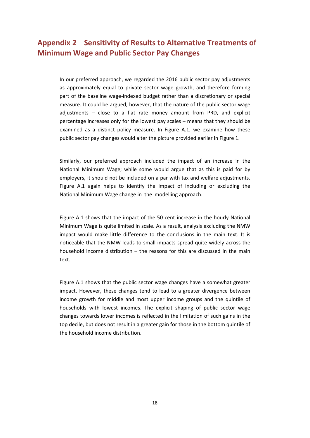In our preferred approach, we regarded the 2016 public sector pay adjustments as approximately equal to private sector wage growth, and therefore forming part of the baseline wage-indexed budget rather than a discretionary or special measure. It could be argued, however, that the nature of the public sector wage adjustments – close to a flat rate money amount from PRD, and explicit percentage increases only for the lowest pay scales – means that they should be examined as a distinct policy measure. In Figure A.1, we examine how these public sector pay changes would alter the picture provided earlier in Figure 1.

Similarly, our preferred approach included the impact of an increase in the National Minimum Wage; while some would argue that as this is paid for by employers, it should not be included on a par with tax and welfare adjustments. Figure A.1 again helps to identify the impact of including or excluding the National Minimum Wage change in the modelling approach.

Figure A.1 shows that the impact of the 50 cent increase in the hourly National Minimum Wage is quite limited in scale. As a result, analysis excluding the NMW impact would make little difference to the conclusions in the main text. It is noticeable that the NMW leads to small impacts spread quite widely across the household income distribution – the reasons for this are discussed in the main text.

Figure A.1 shows that the public sector wage changes have a somewhat greater impact. However, these changes tend to lead to a greater divergence between income growth for middle and most upper income groups and the quintile of households with lowest incomes. The explicit shaping of public sector wage changes towards lower incomes is reflected in the limitation of such gains in the top decile, but does not result in a greater gain for those in the bottom quintile of the household income distribution.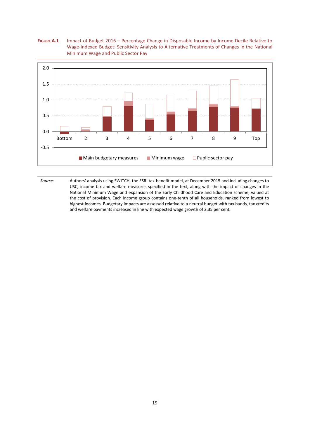



*Source:* Authors' analysis using SWITCH, the ESRI tax-benefit model, at December 2015 and including changes to USC, income tax and welfare measures specified in the text, along with the impact of changes in the National Minimum Wage and expansion of the Early Childhood Care and Education scheme, valued at the cost of provision*.* Each income group contains one-tenth of all households, ranked from lowest to highest incomes. Budgetary impacts are assessed relative to a neutral budget with tax bands, tax credits and welfare payments increased in line with expected wage growth of 2.35 per cent*.*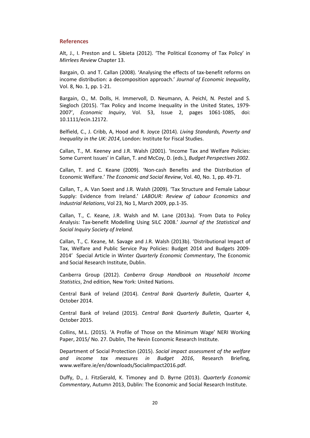#### **References**

Alt, J., I. Preston and L. Sibieta (2012). 'The Political Economy of Tax Policy' in *Mirrlees Review* Chapter 13.

Bargain, O. and T. Callan (2008). 'Analysing the effects of tax-benefit reforms on income distribution: a decomposition approach.' *Journal of Economic Inequality*, Vol. 8, No. 1, pp. 1-21.

Bargain, O., M. Dolls, H. Immervoll, D. Neumann, A. Peichl, N. Pestel and S. Siegloch (2015). 'Tax Policy and Income Inequality in the United States, 1979- 2007', *Economic Inquiry*, Vol. 53, Issue 2, pages 1061-1085, doi: 10.1111/ecin.12172.

Belfield, C., J. Cribb, A, Hood and R. Joyce (2014). *Living Standards, Poverty and Inequality in the UK: 2014*, London: Institute for Fiscal Studies.

Callan, T., M. Keeney and J.R. Walsh (2001). 'Income Tax and Welfare Policies: Some Current Issues' in Callan, T. and McCoy, D. (eds.), *Budget Perspectives 2002*.

Callan, T. and C. Keane (2009). 'Non-cash Benefits and the Distribution of Economic Welfare.' *The Economic and Social Review*, Vol. 40, No. 1, pp. 49-71.

Callan, T., A. Van Soest and J.R. Walsh (2009). 'Tax Structure and Female Labour Supply: Evidence from Ireland.' *LABOUR: Review of Labour Economics and Industrial Relations*, Vol 23, No 1, March 2009, pp.1-35.

Callan, T., C. Keane, J.R. Walsh and M. Lane (2013a). 'From Data to Policy Analysis: Tax-benefit Modelling Using SILC 2008.' *Journal of the Statistical and Social Inquiry Society of Ireland.*

Callan, T., C. Keane, M. Savage and J.R. Walsh (2013b). 'Distributional Impact of Tax, Welfare and Public Service Pay Policies: Budget 2014 and Budgets 2009- 2014' Special Article in Winter *Quarterly Economic Commentary*, The Economic and Social Research Institute, Dublin.

Canberra Group (2012). *Canberra Group Handbook on Household Income Statistics*, 2nd edition, New York: United Nations.

Central Bank of Ireland (2014). *Central Bank Quarterly Bulletin*, Quarter 4, October 2014.

Central Bank of Ireland (2015). *Central Bank Quarterly Bulletin*, Quarter 4, October 2015.

Collins, M.L. (2015). 'A Profile of Those on the Minimum Wage' NERI Working Paper, 2015/ No. 27. Dublin, The Nevin Economic Research Institute.

Department of Social Protection (2015). *Social impact assessment of the welfare and income tax measures in Budget 2016*, Research Briefing, www.welfare.ie/en/downloads/SocialImpact2016.pdf.

Duffy, D., J. FitzGerald, K. Timoney and D. Byrne (2013). *Quarterly Economic Commentary*, Autumn 2013, Dublin: The Economic and Social Research Institute.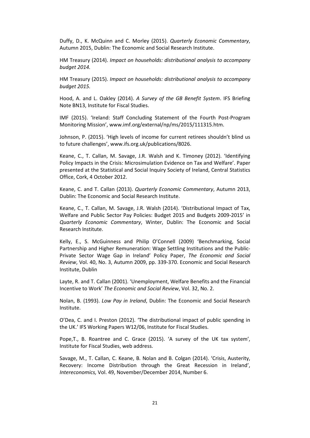Duffy, D., K. McQuinn and C. Morley (2015). *Quarterly Economic Commentary*, Autumn 2015, Dublin: The Economic and Social Research Institute.

HM Treasury (2014). *Impact on households: distributional analysis to accompany budget 2014.* 

HM Treasury (2015). *Impact on households: distributional analysis to accompany budget 2015.* 

Hood, A. and L. Oakley (2014). *A Survey of the GB Benefit System*. IFS Briefing Note BN13, Institute for Fiscal Studies.

IMF (2015). 'Ireland: Staff Concluding Statement of the Fourth Post-Program Monitoring Mission', [www.imf.org/external/np/ms/2015/111315.htm.](http://www.imf.org/external/np/ms/2015/111315.htm)

Johnson, P. (2015). 'High levels of income for current retirees shouldn't blind us to future challenges', [www.ifs.org.uk/publications/8026.](http://www.ifs.org.uk/publications/8026)

Keane, C., T. Callan, M. Savage, J.R. Walsh and K. Timoney (2012). 'Identifying Policy Impacts in the Crisis: Microsimulation Evidence on Tax and Welfare'. Paper presented at the Statistical and Social Inquiry Society of Ireland, Central Statistics Office, Cork, 4 October 2012.

Keane, C. and T. Callan (2013). *Quarterly Economic Commentary*, Autumn 2013, Dublin: The Economic and Social Research Institute.

Keane, C., T. Callan, M. Savage, J.R. Walsh (2014). 'Distributional Impact of Tax, Welfare and Public Sector Pay Policies: Budget 2015 and Budgets 2009-2015' in *Quarterly Economic Commentary*, Winter, Dublin: The Economic and Social Research Institute.

Kelly, E., S. McGuinness and Philip O'Connell (2009) 'Benchmarking, Social Partnership and Higher Remuneration: Wage Settling Institutions and the Public-Private Sector Wage Gap in Ireland' Policy Paper, *The Economic and Social Review*, Vol. 40, No. 3, Autumn 2009, pp. 339-370. Economic and Social Research Institute, Dublin

Layte, R. and T. Callan (2001). 'Unemployment, Welfare Benefits and the Financial Incentive to Work' *The Economic and Social Review*, Vol. 32, No. 2.

Nolan, B. (1993). *Low Pay in Ireland*, Dublin: The Economic and Social Research Institute.

O'Dea, C. and I. Preston (2012). 'The distributional impact of public spending in the UK.' IFS Working Papers W12/06, Institute for Fiscal Studies.

Pope,T., B. Roantree and C. Grace (2015). 'A survey of the UK tax system', Institute for Fiscal Studies, web address.

Savage, M., T. Callan, C. Keane, B. Nolan and B. Colgan (2014). 'Crisis, Austerity, Recovery: Income Distribution through the Great Recession in Ireland', *Intereconomics,* Vol. 49, November/December 2014, Number 6.